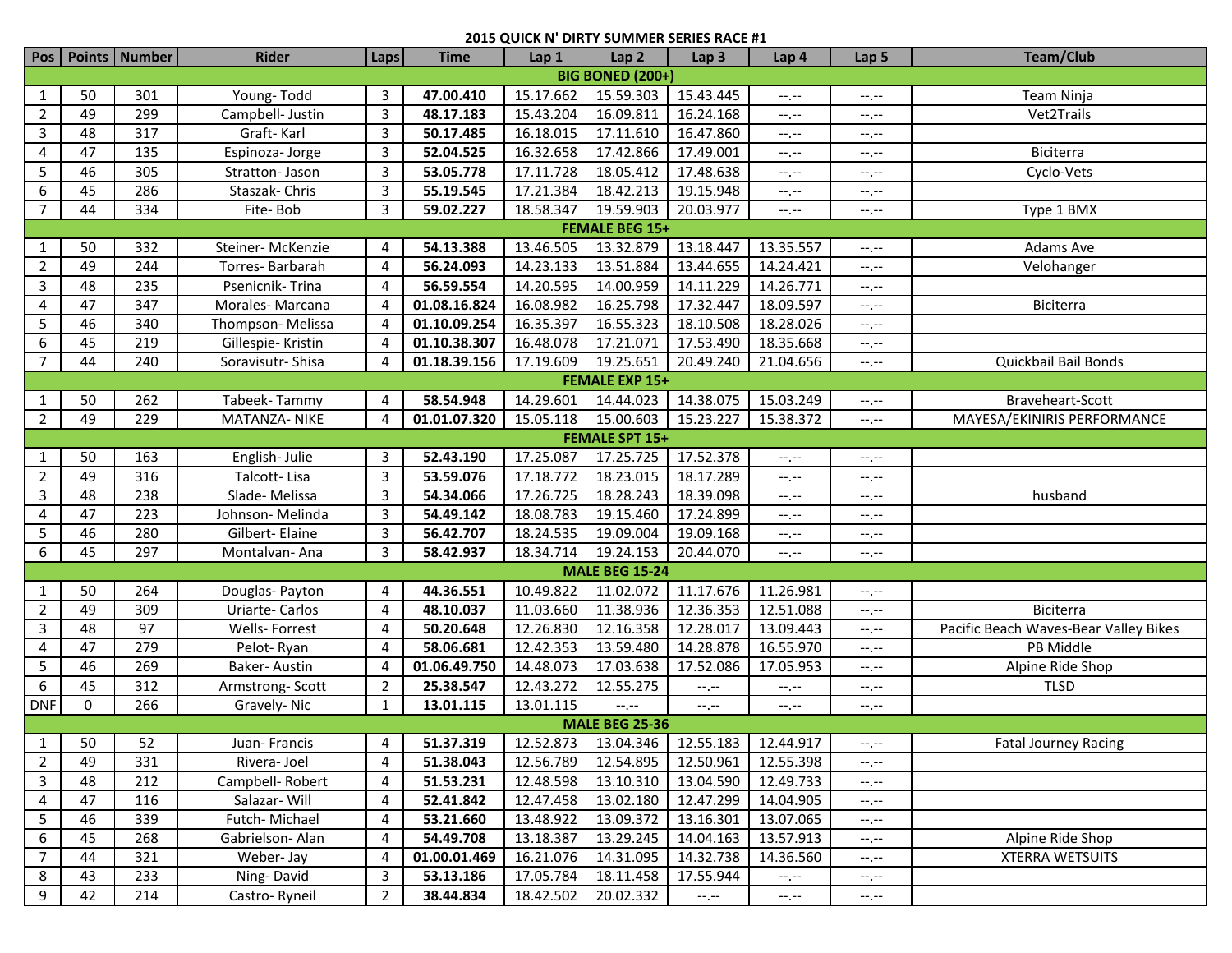| Pos <sup>1</sup>      |                         | Points   Number | <b>Rider</b>       | Laps           | <b>Time</b>  | Lap 1     | Lap <sub>2</sub>      | Lap <sub>3</sub>      | Lap 4                                   | Lap 5                         | <b>Team/Club</b>                      |  |  |
|-----------------------|-------------------------|-----------------|--------------------|----------------|--------------|-----------|-----------------------|-----------------------|-----------------------------------------|-------------------------------|---------------------------------------|--|--|
|                       | <b>BIG BONED (200+)</b> |                 |                    |                |              |           |                       |                       |                                         |                               |                                       |  |  |
| $\mathbf{1}$          | 50                      | 301             | Young-Todd         | 3              | 47.00.410    | 15.17.662 | 15.59.303             | 15.43.445             | $-1$                                    | $-1$ , $-1$                   | Team Ninja                            |  |  |
| $\overline{2}$        | 49                      | 299             | Campbell- Justin   | $\mathbf{3}$   | 48.17.183    | 15.43.204 | 16.09.811             | 16.24.168             | $-1$                                    | $-1, -1$                      | Vet2Trails                            |  |  |
| 3                     | 48                      | 317             | Graft-Karl         | $\mathbf{3}$   | 50.17.485    | 16.18.015 | 17.11.610             | 16.47.860             | $-1, -1$                                | $-1$ , $-1$                   |                                       |  |  |
| 4                     | 47                      | 135             | Espinoza-Jorge     | 3              | 52.04.525    | 16.32.658 | 17.42.866             | 17.49.001             | $-1$                                    | $-1, -1$                      | Biciterra                             |  |  |
| 5                     | 46                      | 305             | Stratton- Jason    | 3              | 53.05.778    | 17.11.728 | 18.05.412             | 17.48.638             | $-1$                                    | --.--                         | Cyclo-Vets                            |  |  |
| 6                     | 45                      | 286             | Staszak-Chris      | 3              | 55.19.545    | 17.21.384 | 18.42.213             | 19.15.948             | $-1$                                    | --.--                         |                                       |  |  |
| $\overline{7}$        | 44                      | 334             | Fite-Bob           | 3              | 59.02.227    | 18.58.347 | 19.59.903             | 20.03.977             | $-1, -1$                                | $-1, -1$                      | Type 1 BMX                            |  |  |
|                       |                         |                 |                    |                |              |           | <b>FEMALE BEG 15+</b> |                       |                                         |                               |                                       |  |  |
| $\mathbf{1}$          | 50                      | 332             | Steiner-McKenzie   | 4              | 54.13.388    | 13.46.505 | 13.32.879             | 13.18.447             | 13.35.557                               | $--, --$                      | Adams Ave                             |  |  |
| $\overline{2}$        | 49                      | 244             | Torres-Barbarah    | 4              | 56.24.093    | 14.23.133 | 13.51.884             | 13.44.655             | 14.24.421                               | --.--                         | Velohanger                            |  |  |
| 3                     | 48                      | 235             | Psenicnik-Trina    | 4              | 56.59.554    | 14.20.595 | 14.00.959             | 14.11.229             | 14.26.771                               | $-1, -1$                      |                                       |  |  |
| 4                     | 47                      | 347             | Morales-Marcana    | 4              | 01.08.16.824 | 16.08.982 | 16.25.798             | 17.32.447             | 18.09.597                               | $--, --$                      | Biciterra                             |  |  |
| 5                     | 46                      | 340             | Thompson-Melissa   | 4              | 01.10.09.254 | 16.35.397 | 16.55.323             | 18.10.508             | 18.28.026                               | $-1, -1$                      |                                       |  |  |
| 6                     | 45                      | 219             | Gillespie- Kristin |                | 01.10.38.307 | 16.48.078 | 17.21.071             | 17.53.490             | 18.35.668                               | $-1$                          |                                       |  |  |
| $\overline{7}$        | 44                      | 240             | Soravisutr-Shisa   |                | 01.18.39.156 | 17.19.609 | 19.25.651             | 20.49.240             | 21.04.656                               | $\rightarrow$ , $\rightarrow$ | Quickbail Bail Bonds                  |  |  |
|                       |                         |                 |                    |                |              |           | <b>FEMALE EXP 15+</b> |                       |                                         |                               |                                       |  |  |
| 1                     | 50                      | 262             | Tabeek-Tammy       | 4              | 58.54.948    | 14.29.601 | 14.44.023             | 14.38.075             | 15.03.249                               | $-1$                          | Braveheart-Scott                      |  |  |
| $\overline{2}$        | 49                      | 229             | MATANZA- NIKE      | 4              | 01.01.07.320 | 15.05.118 | 15.00.603             | 15.23.227             | 15.38.372                               | $-1, -1$                      | MAYESA/EKINIRIS PERFORMANCE           |  |  |
| <b>FEMALE SPT 15+</b> |                         |                 |                    |                |              |           |                       |                       |                                         |                               |                                       |  |  |
| $\mathbf{1}$          | 50                      | 163             | English-Julie      | 3              | 52.43.190    | 17.25.087 | 17.25.725             | 17.52.378             | $-1$                                    | $-1, -1$                      |                                       |  |  |
| $\overline{2}$        | 49                      | 316             | Talcott-Lisa       | 3              | 53.59.076    | 17.18.772 | 18.23.015             | 18.17.289             | $\leftarrow$ , $\leftarrow$             | $-1, -1$                      |                                       |  |  |
| $\mathbf{3}$          | 48                      | 238             | Slade-Melissa      | 3              | 54.34.066    | 17.26.725 | 18.28.243             | 18.39.098             | $-1, -1$                                | $-1, -1$                      | husband                               |  |  |
| 4                     | 47                      | 223             | Johnson-Melinda    | 3              | 54.49.142    | 18.08.783 | 19.15.460             | 17.24.899             | $-1, -1$                                | $-1, -1$                      |                                       |  |  |
| 5                     | 46                      | 280             | Gilbert- Elaine    | $\mathbf{3}$   | 56.42.707    | 18.24.535 | 19.09.004             | 19.09.168             | $-1, -1$                                | $-1, -1$                      |                                       |  |  |
| 6                     | 45                      | 297             | Montalvan-Ana      | $\mathbf{3}$   | 58.42.937    | 18.34.714 | 19.24.153             | 20.44.070             | $-1$                                    | $-1, -1$                      |                                       |  |  |
|                       |                         |                 |                    |                |              |           | <b>MALE BEG 15-24</b> |                       |                                         |                               |                                       |  |  |
| 1                     | 50                      | 264             | Douglas-Payton     | 4              | 44.36.551    | 10.49.822 | 11.02.072             | 11.17.676             | 11.26.981                               | $-1$ , $-1$                   |                                       |  |  |
| $\overline{2}$        | 49                      | 309             | Uriarte-Carlos     | 4              | 48.10.037    | 11.03.660 | 11.38.936             | 12.36.353             | 12.51.088                               | $\leftarrow$ , $\leftarrow$   | Biciterra                             |  |  |
| 3                     | 48                      | 97              | Wells- Forrest     | 4              | 50.20.648    | 12.26.830 | 12.16.358             | 12.28.017             | 13.09.443                               | $-1$                          | Pacific Beach Waves-Bear Valley Bikes |  |  |
| 4                     | 47                      | 279             | Pelot-Ryan         | 4              | 58.06.681    | 12.42.353 | 13.59.480             | 14.28.878             | 16.55.970                               | --.--                         | PB Middle                             |  |  |
| 5                     | 46                      | 269             | Baker-Austin       | 4              | 01.06.49.750 | 14.48.073 | 17.03.638             | 17.52.086             | 17.05.953                               | --.--                         | Alpine Ride Shop                      |  |  |
| 6                     | 45                      | 312             | Armstrong-Scott    | $\overline{2}$ | 25.38.547    | 12.43.272 | 12.55.275             | $-1 - 1 - 1 = 0$      | $--, --$                                | $-1, -1$                      | <b>TLSD</b>                           |  |  |
| <b>DNF</b>            | $\mathbf 0$             | 266             | Gravely-Nic        | $\mathbf{1}$   | 13.01.115    | 13.01.115 | --.--                 | $-1, -1$              | --.--                                   | $-1, -1$                      |                                       |  |  |
|                       |                         |                 |                    |                |              |           | <b>MALE BEG 25-36</b> |                       |                                         |                               |                                       |  |  |
| 1                     | 50                      | 52              | Juan-Francis       | 4              | 51.37.319    |           |                       |                       | 12.52.873 13.04.346 12.55.183 12.44.917 | $- - - - -$                   | <b>Fatal Journey Racing</b>           |  |  |
| $\overline{2}$        | 49                      | 331             | Rivera-Joel        | 4              | 51.38.043    | 12.56.789 | 12.54.895             | 12.50.961             | 12.55.398                               | $-1, -1$                      |                                       |  |  |
| 3                     | 48                      | 212             | Campbell-Robert    | 4              | 51.53.231    | 12.48.598 | 13.10.310             | 13.04.590             | 12.49.733                               | $-1, -1$                      |                                       |  |  |
| 4                     | 47                      | 116             | Salazar-Will       | 4              | 52.41.842    | 12.47.458 | 13.02.180             | 12.47.299             | 14.04.905                               | $-1, -1$                      |                                       |  |  |
| 5                     | 46                      | 339             | Futch-Michael      | 4              | 53.21.660    | 13.48.922 | 13.09.372             | 13.16.301             | 13.07.065                               | $-1, -1$                      |                                       |  |  |
| 6                     | 45                      | 268             | Gabrielson- Alan   | 4              | 54.49.708    | 13.18.387 | 13.29.245             | 14.04.163             | 13.57.913                               | $-1, -1$                      | Alpine Ride Shop                      |  |  |
| $\overline{7}$        | 44                      | 321             | Weber-Jay          | 4              | 01.00.01.469 | 16.21.076 | 14.31.095             | 14.32.738             | 14.36.560                               | $-1, -1$                      | <b>XTERRA WETSUITS</b>                |  |  |
| 8                     | 43                      | 233             | Ning-David         | 3              | 53.13.186    | 17.05.784 | 18.11.458             | 17.55.944             | $\leftarrow$ , $\leftarrow$             | $-\text{-},\text{-}-$         |                                       |  |  |
| 9                     | 42                      | 214             | Castro-Ryneil      | $2^{\circ}$    | 38.44.834    | 18.42.502 | 20.02.332             | $-\text{-},\text{-}-$ | $-\text{-},\text{-}-$                   | $-1. -1$                      |                                       |  |  |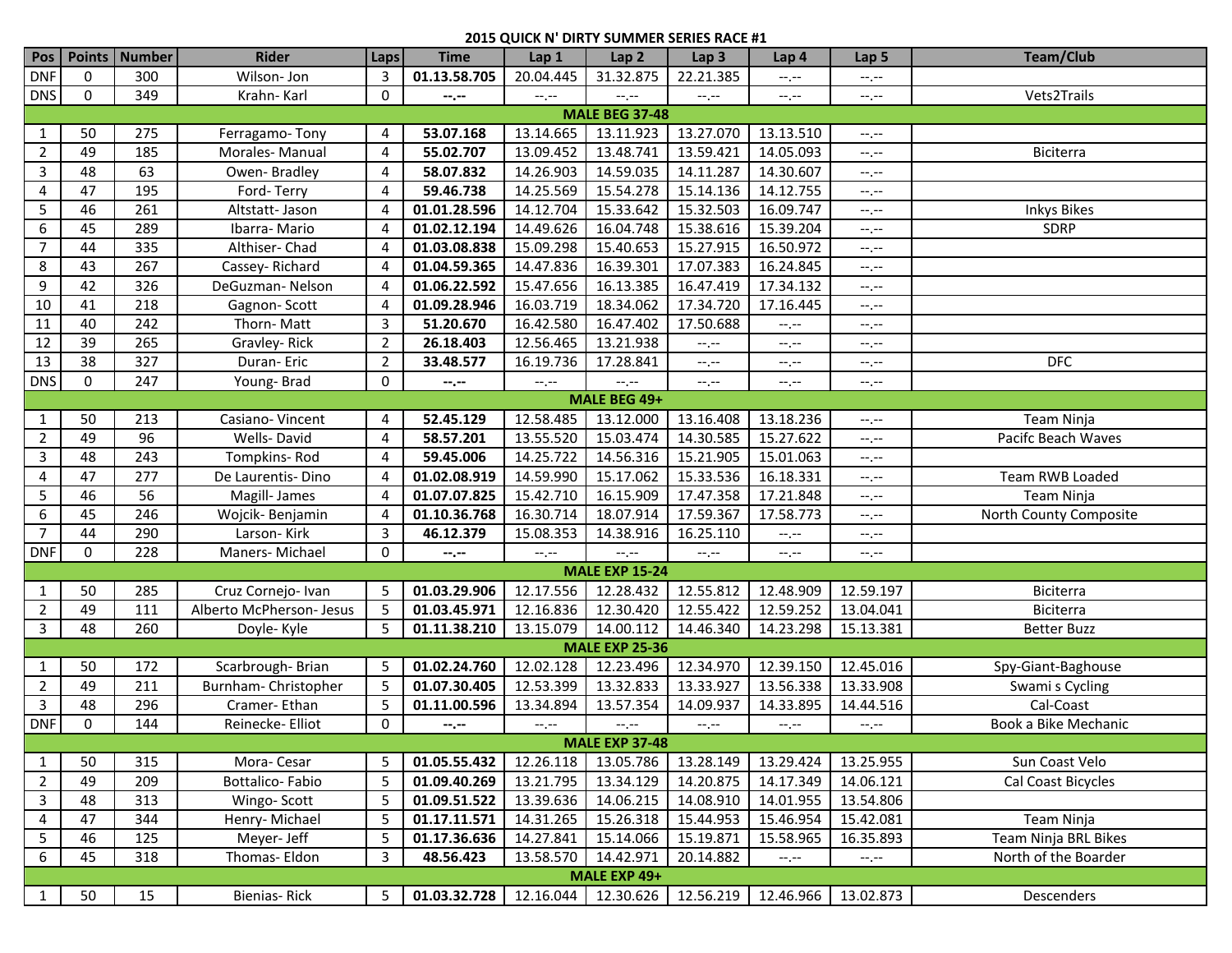| Pos                   |                 | Points   Number  | <b>Rider</b>             | Laps                  | <b>Time</b>      | Lap 1       | Lap <sub>2</sub>      | Lap <sub>3</sub> | Lap <sub>4</sub> | Lap 5                       | <b>Team/Club</b>       |
|-----------------------|-----------------|------------------|--------------------------|-----------------------|------------------|-------------|-----------------------|------------------|------------------|-----------------------------|------------------------|
| <b>DNF</b>            | 0               | 300              | Wilson-Jon               | 3                     | 01.13.58.705     | 20.04.445   | 31.32.875             | 22.21.385        | $-1, -1$         | $-1$ , $-1$                 |                        |
| <b>DNS</b>            | $\mathbf 0$     | 349              | Krahn-Karl               | 0                     | $-1 - 1 - 1 = 0$ | $--, --$    | $-1$ .                | $-1 - 1 - 1 = 0$ | $-1, -1$         | $\leftarrow$ , $\leftarrow$ | Vets2Trails            |
| <b>MALE BEG 37-48</b> |                 |                  |                          |                       |                  |             |                       |                  |                  |                             |                        |
| $\mathbf{1}$          | 50              | 275              | Ferragamo-Tony           | 4                     | 53.07.168        | 13.14.665   | 13.11.923             | 13.27.070        | 13.13.510        | $-1, -1$                    |                        |
| $\overline{2}$        | 49              | 185              | Morales-Manual           | 4                     | 55.02.707        | 13.09.452   | 13.48.741             | 13.59.421        | 14.05.093        | $-1, -1$                    | Biciterra              |
| 3                     | 48              | 63               | Owen-Bradley             | 4                     | 58.07.832        | 14.26.903   | 14.59.035             | 14.11.287        | 14.30.607        | --.--                       |                        |
| 4                     | 47              | 195              | Ford-Terry               | 4                     | 59.46.738        | 14.25.569   | 15.54.278             | 15.14.136        | 14.12.755        | --.--                       |                        |
| 5                     | 46              | 261              | Altstatt- Jason          | 4                     | 01.01.28.596     | 14.12.704   | 15.33.642             | 15.32.503        | 16.09.747        | --.--                       | <b>Inkys Bikes</b>     |
| 6                     | 45              | 289              | Ibarra-Mario             |                       | 01.02.12.194     | 14.49.626   | 16.04.748             | 15.38.616        | 15.39.204        | --.--                       | <b>SDRP</b>            |
| $\overline{7}$        | 44              | 335              | Althiser-Chad            | 4                     | 01.03.08.838     | 15.09.298   | 15.40.653             | 15.27.915        | 16.50.972        | $-1$                        |                        |
| 8                     | 43              | 267              | Cassey-Richard           | 4                     | 01.04.59.365     | 14.47.836   | 16.39.301             | 17.07.383        | 16.24.845        | $-1, -1$                    |                        |
| 9                     | 42              | 326              | DeGuzman-Nelson          | $\boldsymbol{\Delta}$ | 01.06.22.592     | 15.47.656   | 16.13.385             | 16.47.419        | 17.34.132        | $-1, -1$                    |                        |
| 10                    | 41              | 218              | Gagnon-Scott             | 4                     | 01.09.28.946     | 16.03.719   | 18.34.062             | 17.34.720        | 17.16.445        | $-1, -1$                    |                        |
| 11                    | 40              | 242              | Thorn-Matt               | 3                     | 51.20.670        | 16.42.580   | 16.47.402             | 17.50.688        | $-1, -1$         | $-1, -1$                    |                        |
| 12                    | 39              | 265              | Gravley-Rick             | $\overline{2}$        | 26.18.403        | 12.56.465   | 13.21.938             | $-1, -1$         | $-1$             | $-1$                        |                        |
| $\overline{13}$       | $\overline{38}$ | $\overline{327}$ | Duran-Eric               | $\overline{2}$        | 33.48.577        | 16.19.736   | 17.28.841             | $-1$             | $-1$             | $--, --$                    | <b>DFC</b>             |
| <b>DNS</b>            | 0               | 247              | Young-Brad               | 0                     | --.--            | $-1, -1$    | $-1$                  | $-1 - 1 - 1 = 0$ | $-1$ . $-1$      | $-1, -1$                    |                        |
| MALE BEG 49+          |                 |                  |                          |                       |                  |             |                       |                  |                  |                             |                        |
| $\mathbf{1}$          | 50              | 213              | Casiano-Vincent          | 4                     | 52.45.129        | 12.58.485   | 13.12.000             | 13.16.408        | 13.18.236        | --.--                       | Team Ninja             |
| $\overline{2}$        | 49              | 96               | Wells-David              | 4                     | 58.57.201        | 13.55.520   | 15.03.474             | 14.30.585        | 15.27.622        | --.--                       | Pacifc Beach Waves     |
| 3                     | 48              | 243              | Tompkins-Rod             | 4                     | 59.45.006        | 14.25.722   | 14.56.316             | 15.21.905        | 15.01.063        | --.--                       |                        |
| 4                     | 47              | 277              | De Laurentis-Dino        | 4                     | 01.02.08.919     | 14.59.990   | 15.17.062             | 15.33.536        | 16.18.331        | --.--                       | Team RWB Loaded        |
| 5                     | 46              | 56               | Magill- James            | 4                     | 01.07.07.825     | 15.42.710   | 16.15.909             | 17.47.358        | 17.21.848        | $-1, -1$                    | Team Ninja             |
| $\boldsymbol{6}$      | 45              | 246              | Wojcik-Benjamin          | 4                     | 01.10.36.768     | 16.30.714   | 18.07.914             | 17.59.367        | 17.58.773        | $-1, -1$                    | North County Composite |
| $\overline{7}$        | 44              | 290              | Larson-Kirk              | 3                     | 46.12.379        | 15.08.353   | 14.38.916             | 16.25.110        | $-1, -1$         | $-1, -1$                    |                        |
| <b>DNF</b>            | $\mathbf 0$     | 228              | Maners-Michael           | 0                     | --.--            | $-$ , $-$   | $-1$ .                | $-1$             | $-1, -1$         | $-1, -1$                    |                        |
|                       |                 |                  |                          |                       |                  |             | <b>MALE EXP 15-24</b> |                  |                  |                             |                        |
| 1                     | 50              | 285              | Cruz Cornejo- Ivan       | 5                     | 01.03.29.906     | 12.17.556   | 12.28.432             | 12.55.812        | 12.48.909        | 12.59.197                   | Biciterra              |
| $\overline{2}$        | 49              | 111              | Alberto McPherson- Jesus | 5                     | 01.03.45.971     | 12.16.836   | 12.30.420             | 12.55.422        | 12.59.252        | 13.04.041                   | Biciterra              |
| 3                     | 48              | 260              | Doyle-Kyle               | 5                     | 01.11.38.210     | 13.15.079   | 14.00.112             | 14.46.340        | 14.23.298        | 15.13.381                   | <b>Better Buzz</b>     |
|                       |                 |                  |                          |                       |                  |             | <b>MALE EXP 25-36</b> |                  |                  |                             |                        |
| $\mathbf{1}$          | 50              | 172              | Scarbrough-Brian         | 5                     | 01.02.24.760     | 12.02.128   | 12.23.496             | 12.34.970        | 12.39.150        | 12.45.016                   | Spy-Giant-Baghouse     |
| $\overline{2}$        | 49              | 211              | Burnham-Christopher      | 5                     | 01.07.30.405     | 12.53.399   | 13.32.833             | 13.33.927        | 13.56.338        | 13.33.908                   | Swami s Cycling        |
| $\mathbf{3}$          | 48              | 296              | Cramer-Ethan             | 5                     | 01.11.00.596     | 13.34.894   | 13.57.354             | 14.09.937        | 14.33.895        | 14.44.516                   | Cal-Coast              |
| <b>DNF</b>            | $\Omega$        | 144              | Reinecke- Elliot         | $\mathbf 0$           | --.--            | $-1$ , $-1$ | $-1, -1$              | $-1, -1$         | $-1, -1$         | $-1, -1$                    | Book a Bike Mechanic   |
| <b>MALE EXP 37-48</b> |                 |                  |                          |                       |                  |             |                       |                  |                  |                             |                        |
| $\mathbf{1}$          | 50              | 315              | Mora-Cesar               | 5                     | 01.05.55.432     | 12.26.118   | 13.05.786             | 13.28.149        | 13.29.424        | 13.25.955                   | Sun Coast Velo         |
| $\overline{2}$        | 49              | 209              | Bottalico-Fabio          | 5                     | 01.09.40.269     | 13.21.795   | 13.34.129             | 14.20.875        | 14.17.349        | 14.06.121                   | Cal Coast Bicycles     |
| 3                     | 48              | 313              | Wingo-Scott              | 5                     | 01.09.51.522     | 13.39.636   | 14.06.215             | 14.08.910        | 14.01.955        | 13.54.806                   |                        |
| 4                     | 47              | 344              | Henry-Michael            | 5                     | 01.17.11.571     | 14.31.265   | 15.26.318             | 15.44.953        | 15.46.954        | 15.42.081                   | Team Ninja             |
| 5                     | 46              | 125              | Meyer-Jeff               | 5                     | 01.17.36.636     | 14.27.841   | 15.14.066             | 15.19.871        | 15.58.965        | 16.35.893                   | Team Ninja BRL Bikes   |
| 6                     | 45              | 318              | Thomas- Eldon            | 3                     | 48.56.423        | 13.58.570   | 14.42.971             | 20.14.882        | $-1, -1$         | $\leftarrow$ , $\leftarrow$ | North of the Boarder   |
|                       |                 |                  |                          |                       |                  |             | MALE EXP 49+          |                  |                  |                             |                        |
| $\mathbf{1}$          | 50              | 15               | Bienias-Rick             | 5                     | 01.03.32.728     |             | 12.16.044 12.30.626   | 12.56.219        | 12.46.966        | 13.02.873                   | <b>Descenders</b>      |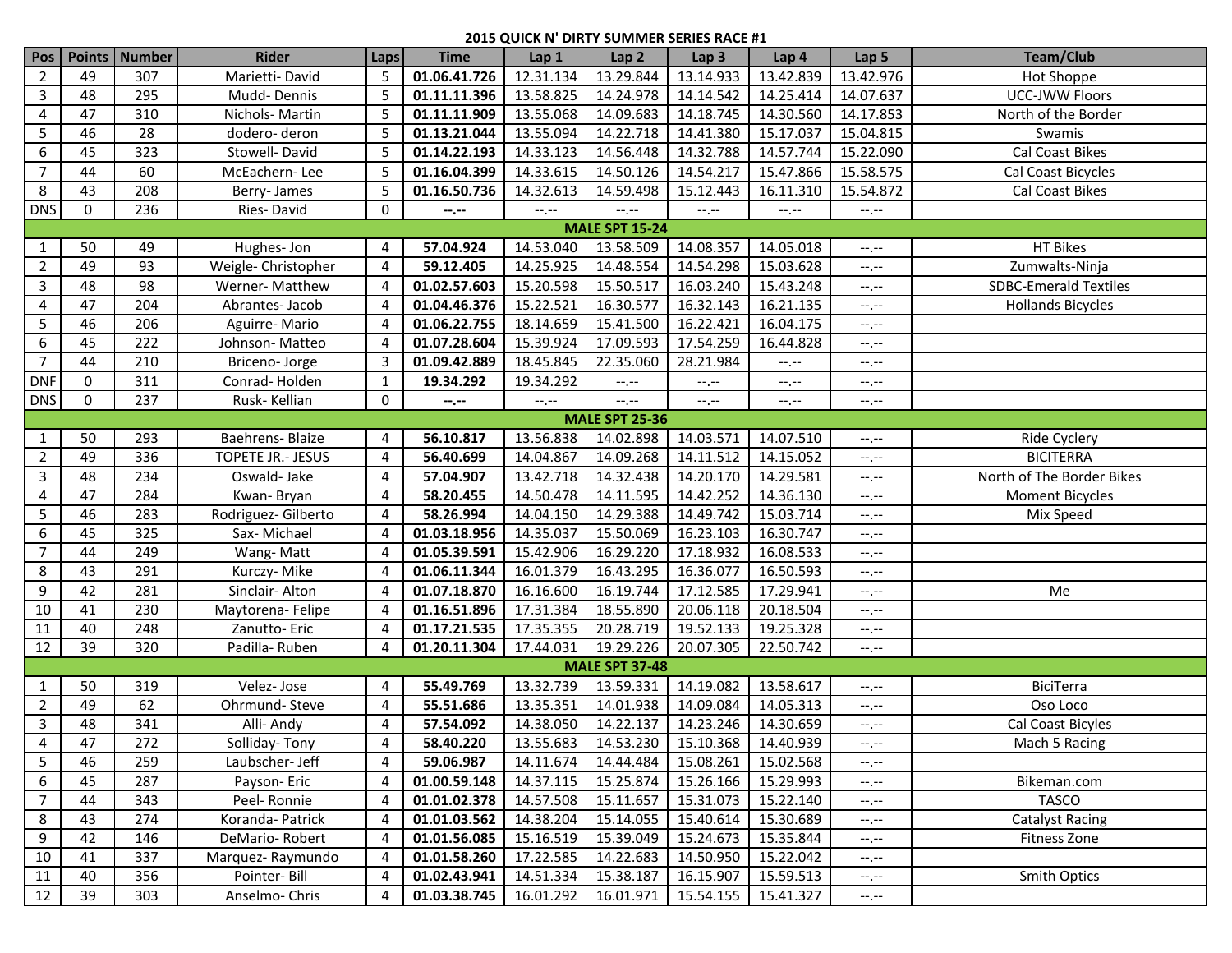| Pos            | <b>Points</b> | Number | <b>Rider</b>        | Laps           | <b>Time</b>  | Lap 1     | Lap <sub>2</sub>                        | Lap <sub>3</sub> | Lap 4                      | Lap 5                           | Team/Club                    |
|----------------|---------------|--------|---------------------|----------------|--------------|-----------|-----------------------------------------|------------------|----------------------------|---------------------------------|------------------------------|
| 2              | 49            | 307    | Marietti-David      | 5              | 01.06.41.726 | 12.31.134 | 13.29.844                               | 13.14.933        | 13.42.839                  | 13.42.976                       | Hot Shoppe                   |
| 3              | 48            | 295    | Mudd-Dennis         | 5              | 01.11.11.396 | 13.58.825 | 14.24.978                               | 14.14.542        | 14.25.414                  | 14.07.637                       | UCC-JWW Floors               |
| 4              | 47            | 310    | Nichols-Martin      | 5              | 01.11.11.909 | 13.55.068 | 14.09.683                               | 14.18.745        | 14.30.560                  | 14.17.853                       | North of the Border          |
| 5              | 46            | 28     | dodero-deron        | 5              | 01.13.21.044 | 13.55.094 | 14.22.718                               | 14.41.380        | 15.17.037                  | 15.04.815                       | Swamis                       |
| 6              | 45            | 323    | Stowell-David       | 5              | 01.14.22.193 | 14.33.123 | 14.56.448                               | 14.32.788        | 14.57.744                  | 15.22.090                       | Cal Coast Bikes              |
| 7              | 44            | 60     | McEachern-Lee       |                | 01.16.04.399 | 14.33.615 | 14.50.126                               | 14.54.217        | 15.47.866                  | 15.58.575                       | Cal Coast Bicycles           |
| 8              | 43            | 208    | Berry-James         | 5              | 01.16.50.736 | 14.32.613 | 14.59.498                               | 15.12.443        | 16.11.310                  | 15.54.872                       | Cal Coast Bikes              |
| <b>DNS</b>     | 0             | 236    | Ries-David          | 0              | $-1, -1$     | $-1, -1$  | $-1, -1$                                | $-1, -1$         | $-1, -1$                   | $-1, -1$                        |                              |
|                |               |        |                     |                |              |           | <b>MALE SPT 15-24</b>                   |                  |                            |                                 |                              |
| 1              | 50            | 49     | Hughes-Jon          | 4              | 57.04.924    | 14.53.040 | 13.58.509                               | 14.08.357        | 14.05.018                  | $-1, -1$                        | <b>HT Bikes</b>              |
| $\overline{2}$ | 49            | 93     | Weigle- Christopher | 4              | 59.12.405    | 14.25.925 | 14.48.554                               | 14.54.298        | 15.03.628                  | $-1, -1$                        | Zumwalts-Ninja               |
| 3              | 48            | 98     | Werner- Matthew     | 4              | 01.02.57.603 | 15.20.598 | 15.50.517                               | 16.03.240        | 15.43.248                  | $-1 - 1 - 1 = 0$                | <b>SDBC-Emerald Textiles</b> |
| 4              | 47            | 204    | Abrantes-Jacob      | 4              | 01.04.46.376 | 15.22.521 | 16.30.577                               | 16.32.143        | 16.21.135                  | $-1 - 1 - 1 = 0$                | <b>Hollands Bicycles</b>     |
| 5              | 46            | 206    | Aguirre-Mario       |                | 01.06.22.755 | 18.14.659 | 15.41.500                               | 16.22.421        | 16.04.175                  | $-1 - 1 - 1 = 0$                |                              |
| 6              | 45            | 222    | Johnson-Matteo      |                | 01.07.28.604 | 15.39.924 | 17.09.593                               | 17.54.259        | 16.44.828                  | $-1 - 1 - 1 = 0$                |                              |
| $\overline{7}$ | 44            | 210    | Briceno-Jorge       | 3              | 01.09.42.889 | 18.45.845 | 22.35.060                               | 28.21.984        | $-1$                       | $-1, -1$                        |                              |
| <b>DNF</b>     | 0             | 311    | Conrad-Holden       | 1              | 19.34.292    | 19.34.292 | $-1, -1$                                | $-1, -1$         | $-\mathbb{I},\mathbb{I}$ . | $-1$                            |                              |
| <b>DNS</b>     | $\mathbf 0$   | 237    | Rusk-Kellian        | 0              | --.--        | $-1, -1$  | $-1$ , $-1$                             | $-1, -1$         | $-1, -1$                   | $-1, -1$                        |                              |
|                |               |        |                     |                |              |           | <b>MALE SPT 25-36</b>                   |                  |                            |                                 |                              |
| $\mathbf{1}$   | 50            | 293    | Baehrens- Blaize    | 4              | 56.10.817    | 13.56.838 | 14.02.898                               | 14.03.571        | 14.07.510                  | $-1, -1$                        | Ride Cyclery                 |
| $\overline{2}$ | 49            | 336    | TOPETE JR.- JESUS   | 4              | 56.40.699    | 14.04.867 | 14.09.268                               | 14.11.512        | 14.15.052                  | $-1, -1$                        | <b>BICITERRA</b>             |
| 3              | 48            | 234    | Oswald-Jake         | 4              | 57.04.907    | 13.42.718 | 14.32.438                               | 14.20.170        | 14.29.581                  | $\leftarrow$ , $\leftarrow$     | North of The Border Bikes    |
| 4              | 47            | 284    | Kwan-Bryan          | 4              | 58.20.455    | 14.50.478 | 14.11.595                               | 14.42.252        | 14.36.130                  | $-1, -1$                        | <b>Moment Bicycles</b>       |
| 5              | 46            | 283    | Rodriguez- Gilberto | 4              | 58.26.994    | 14.04.150 | 14.29.388                               | 14.49.742        | 15.03.714                  | $-1, -1$                        | Mix Speed                    |
| 6              | 45            | 325    | Sax-Michael         | 4              | 01.03.18.956 | 14.35.037 | 15.50.069                               | 16.23.103        | 16.30.747                  | $-1, -1$                        |                              |
| $\overline{7}$ | 44            | 249    | Wang-Matt           | 4              | 01.05.39.591 | 15.42.906 | 16.29.220                               | 17.18.932        | 16.08.533                  | $-1, -1$                        |                              |
| 8              | 43            | 291    | Kurczy- Mike        | 4              | 01.06.11.344 | 16.01.379 | 16.43.295                               | 16.36.077        | 16.50.593                  | $-1, -1$                        |                              |
| 9              | 42            | 281    | Sinclair-Alton      | 4              | 01.07.18.870 | 16.16.600 | 16.19.744                               | 17.12.585        | 17.29.941                  | $-1 - 1 - 1 = 0$                | Me                           |
| 10             | 41            | 230    | Maytorena-Felipe    | 4              | 01.16.51.896 | 17.31.384 | 18.55.890                               | 20.06.118        | 20.18.504                  | $-1, -1$                        |                              |
| 11             | 40            | 248    | Zanutto-Eric        | 4              | 01.17.21.535 | 17.35.355 | 20.28.719                               | 19.52.133        | 19.25.328                  | $-1, -1$                        |                              |
| 12             | 39            | 320    | Padilla-Ruben       | Δ              | 01.20.11.304 | 17.44.031 | 19.29.226                               | 20.07.305        | 22.50.742                  | $-1, -1$                        |                              |
|                |               |        |                     |                |              |           | <b>MALE SPT 37-48</b>                   |                  |                            |                                 |                              |
| $\mathbf{1}$   | 50            | 319    | Velez-Jose          | 4              | 55.49.769    | 13.32.739 | 13.59.331                               | 14.19.082        | 13.58.617                  | $-1$                            | <b>BiciTerra</b>             |
| $\overline{2}$ | 49            | 62     | Ohrmund-Steve       | 4              | 55.51.686    | 13.35.351 | 14.01.938                               | 14.09.084        | 14.05.313                  | $-1, -1$                        | Oso Loco                     |
| 3              | 48            | 341    | Alli- Andy          | 4              | 57.54.092    | 14.38.050 | 14.22.137                               | 14.23.246        | 14.30.659                  | $-1$                            | Cal Coast Bicyles            |
| $\overline{4}$ | 47            | 272    | Solliday-Tony       | $\overline{4}$ | 58.40.220    |           | 13.55.683 14.53.230 15.10.368 14.40.939 |                  |                            | $\mathbb{H}^2$ , $\mathbb{H}^2$ | Mach 5 Racing                |
| 5              | 46            | 259    | Laubscher- Jeff     | 4              | 59.06.987    | 14.11.674 | 14.44.484                               | 15.08.261        | 15.02.568                  | $-1, -1$                        |                              |
| 6              | 45            | 287    | Payson-Eric         | 4              | 01.00.59.148 | 14.37.115 | 15.25.874                               | 15.26.166        | 15.29.993                  | $-1, -1$                        | Bikeman.com                  |
| $\overline{7}$ | 44            | 343    | Peel-Ronnie         | 4              | 01.01.02.378 | 14.57.508 | 15.11.657                               | 15.31.073        | 15.22.140                  | $-1, -1$                        | <b>TASCO</b>                 |
| 8              | 43            | 274    | Koranda- Patrick    |                | 01.01.03.562 | 14.38.204 | 15.14.055                               | 15.40.614        | 15.30.689                  | $-1, -1$                        | <b>Catalyst Racing</b>       |
| 9              | 42            | 146    | DeMario-Robert      | 4              | 01.01.56.085 | 15.16.519 | 15.39.049                               | 15.24.673        | 15.35.844                  | $-1, -1$                        | Fitness Zone                 |
| 10             | 41            | 337    | Marquez-Raymundo    | 4              | 01.01.58.260 | 17.22.585 | 14.22.683                               | 14.50.950        | 15.22.042                  | $-1, -1$                        |                              |
| 11             | 40            | 356    | Pointer-Bill        | 4              | 01.02.43.941 | 14.51.334 | 15.38.187                               | 16.15.907        | 15.59.513                  | $-1, -1$                        | <b>Smith Optics</b>          |
| 12             | 39            | 303    | Anselmo-Chris       | 4              | 01.03.38.745 | 16.01.292 | 16.01.971                               | 15.54.155        | 15.41.327                  | $-1, -1$                        |                              |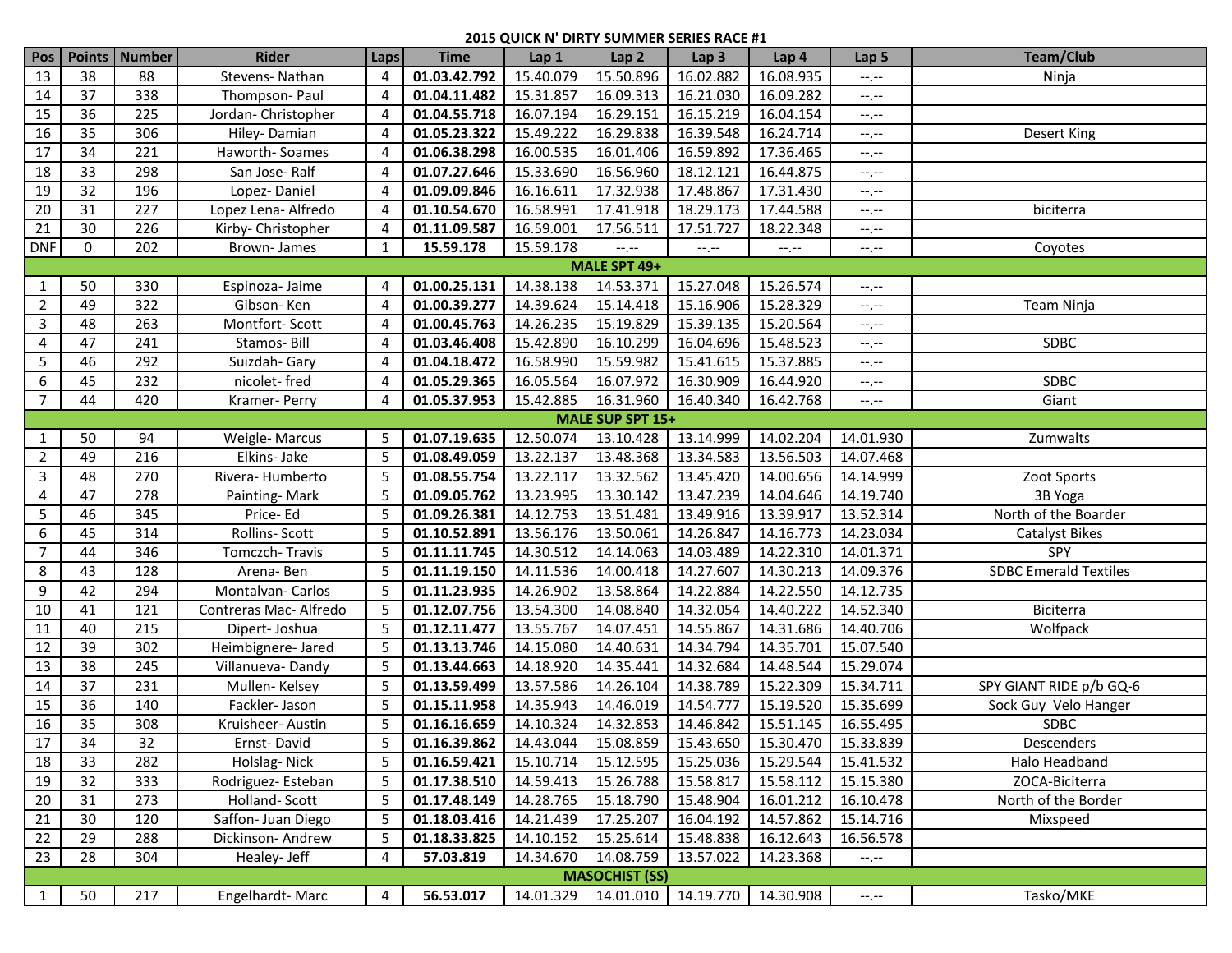| Pos            |                  | Points   Number | <b>Rider</b>          | <b>Laps</b> | <b>Time</b>                                                  | Lap 1     | Lap <sub>2</sub>           | Lap <sub>3</sub> | Lap 4     | Lap <sub>5</sub>                 | <b>Team/Club</b>             |  |  |
|----------------|------------------|-----------------|-----------------------|-------------|--------------------------------------------------------------|-----------|----------------------------|------------------|-----------|----------------------------------|------------------------------|--|--|
| 13             | 38               | 88              | Stevens-Nathan        | 4           | 01.03.42.792                                                 | 15.40.079 | 15.50.896                  | 16.02.882        | 16.08.935 | $-1, -1$                         | Ninja                        |  |  |
| 14             | 37               | 338             | Thompson-Paul         | 4           | 01.04.11.482                                                 | 15.31.857 | 16.09.313                  | 16.21.030        | 16.09.282 | $-1, -1$                         |                              |  |  |
| 15             | 36               | 225             | Jordan-Christopher    | 4           | 01.04.55.718                                                 | 16.07.194 | 16.29.151                  | 16.15.219        | 16.04.154 | --.--                            |                              |  |  |
| 16             | 35               | 306             | Hiley-Damian          | 4           | 01.05.23.322                                                 | 15.49.222 | 16.29.838                  | 16.39.548        | 16.24.714 | --.--                            | <b>Desert King</b>           |  |  |
| 17             | 34               | 221             | Haworth-Soames        | 4           | 01.06.38.298                                                 | 16.00.535 | 16.01.406                  | 16.59.892        | 17.36.465 | --.--                            |                              |  |  |
| 18             | 33               | 298             | San Jose-Ralf         | Δ           | 01.07.27.646                                                 | 15.33.690 | 16.56.960                  | 18.12.121        | 16.44.875 | --.--                            |                              |  |  |
| 19             | 32               | 196             | Lopez-Daniel          | 4           | 01.09.09.846                                                 | 16.16.611 | 17.32.938                  | 17.48.867        | 17.31.430 | --.--                            |                              |  |  |
| 20             | 31               | 227             | Lopez Lena- Alfredo   | 4           | 01.10.54.670                                                 | 16.58.991 | 17.41.918                  | 18.29.173        | 17.44.588 | --.--                            | biciterra                    |  |  |
| 21             | 30               | 226             | Kirby- Christopher    | 4           | 01.11.09.587                                                 | 16.59.001 | 17.56.511                  | 17.51.727        | 18.22.348 | --.--                            |                              |  |  |
| <b>DNF</b>     | $\mathbf 0$      | 202             | Brown-James           | 1           | 15.59.178                                                    | 15.59.178 | $-\mathbb{I},\mathbb{I}$ . | $-1 - 1 - 1 = 0$ | $-1, -1$  | --.--                            | Coyotes                      |  |  |
|                | MALE SPT 49+     |                 |                       |             |                                                              |           |                            |                  |           |                                  |                              |  |  |
| 1              | 50               | 330             | Espinoza-Jaime        | 4           | 01.00.25.131                                                 | 14.38.138 | 14.53.371                  | 15.27.048        | 15.26.574 | --.--                            |                              |  |  |
| $\overline{2}$ | 49               | 322             | Gibson-Ken            | 4           | 01.00.39.277                                                 | 14.39.624 | 15.14.418                  | 15.16.906        | 15.28.329 | $-1, -1$                         | Team Ninja                   |  |  |
| $\overline{3}$ | 48               | 263             | Montfort-Scott        |             | 01.00.45.763                                                 | 14.26.235 | 15.19.829                  | 15.39.135        | 15.20.564 | --.--                            |                              |  |  |
| 4              | 47               | 241             | Stamos-Bill           | 4           | 01.03.46.408                                                 | 15.42.890 | 16.10.299                  | 16.04.696        | 15.48.523 | --.--                            | <b>SDBC</b>                  |  |  |
| 5              | 46               | 292             | Suizdah- Gary         | 4           | 01.04.18.472                                                 | 16.58.990 | 15.59.982                  | 15.41.615        | 15.37.885 | --.--                            |                              |  |  |
| 6              | 45               | 232             | nicolet-fred          | 4           | 01.05.29.365                                                 | 16.05.564 | 16.07.972                  | 16.30.909        | 16.44.920 | --.--                            | <b>SDBC</b>                  |  |  |
| $\overline{7}$ | 44               | 420             | Kramer-Perry          | 4           | 01.05.37.953                                                 | 15.42.885 | 16.31.960                  | 16.40.340        | 16.42.768 | --.--                            | Giant                        |  |  |
|                | MALE SUP SPT 15+ |                 |                       |             |                                                              |           |                            |                  |           |                                  |                              |  |  |
| $\mathbf{1}$   | 50               | 94              | Weigle-Marcus         | 5           | 01.07.19.635                                                 | 12.50.074 | 13.10.428                  | 13.14.999        | 14.02.204 | 14.01.930                        | Zumwalts                     |  |  |
| 2              | 49               | 216             | Elkins- Jake          | 5           | 01.08.49.059                                                 | 13.22.137 | 13.48.368                  | 13.34.583        | 13.56.503 | 14.07.468                        |                              |  |  |
| 3              | 48               | 270             | Rivera-Humberto       | 5           | 01.08.55.754                                                 | 13.22.117 | 13.32.562                  | 13.45.420        | 14.00.656 | 14.14.999                        | Zoot Sports                  |  |  |
| 4              | 47               | 278             | Painting-Mark         | 5           | 01.09.05.762                                                 | 13.23.995 | 13.30.142                  | 13.47.239        | 14.04.646 | 14.19.740                        | 3B Yoga                      |  |  |
| 5              | 46               | 345             | Price-Ed              | 5           | 01.09.26.381                                                 | 14.12.753 | 13.51.481                  | 13.49.916        | 13.39.917 | 13.52.314                        | North of the Boarder         |  |  |
| 6              | 45               | 314             | Rollins-Scott         | 5           | 01.10.52.891                                                 | 13.56.176 | 13.50.061                  | 14.26.847        | 14.16.773 | 14.23.034                        | <b>Catalyst Bikes</b>        |  |  |
| $\overline{7}$ | 44               | 346             | Tomczch-Travis        | 5           | 01.11.11.745                                                 | 14.30.512 | 14.14.063                  | 14.03.489        | 14.22.310 | 14.01.371                        | SPY                          |  |  |
| 8              | 43               | 128             | Arena-Ben             | 5           | 01.11.19.150                                                 | 14.11.536 | 14.00.418                  | 14.27.607        | 14.30.213 | 14.09.376                        | <b>SDBC Emerald Textiles</b> |  |  |
| 9              | 42               | 294             | Montalvan-Carlos      | 5           | 01.11.23.935                                                 | 14.26.902 | 13.58.864                  | 14.22.884        | 14.22.550 | 14.12.735                        |                              |  |  |
| 10             | 41               | 121             | Contreras Mac-Alfredo | 5           | 01.12.07.756                                                 | 13.54.300 | 14.08.840                  | 14.32.054        | 14.40.222 | 14.52.340                        | Biciterra                    |  |  |
| 11             | 40               | 215             | Dipert-Joshua         | 5           | 01.12.11.477                                                 | 13.55.767 | 14.07.451                  | 14.55.867        | 14.31.686 | 14.40.706                        | Wolfpack                     |  |  |
| 12             | 39               | 302             | Heimbignere- Jared    | 5           | 01.13.13.746                                                 | 14.15.080 | 14.40.631                  | 14.34.794        | 14.35.701 | 15.07.540                        |                              |  |  |
| 13             | 38               | 245             | Villanueva-Dandy      | 5           | 01.13.44.663                                                 | 14.18.920 | 14.35.441                  | 14.32.684        | 14.48.544 | 15.29.074                        |                              |  |  |
| 14             | 37               | 231             | Mullen-Kelsey         | 5           | 01.13.59.499                                                 | 13.57.586 | 14.26.104                  | 14.38.789        | 15.22.309 | 15.34.711                        | SPY GIANT RIDE p/b GQ-6      |  |  |
| 15             | 36               | 140             | Fackler-Jason         | 5           | 01.15.11.958                                                 | 14.35.943 | 14.46.019                  | 14.54.777        | 15.19.520 | 15.35.699                        | Sock Guy Velo Hanger         |  |  |
| 16             | 35               | 308             | Kruisheer- Austin     | 5           | 01.16.16.659                                                 | 14.10.324 | 14.32.853                  | 14.46.842        | 15.51.145 | 16.55.495                        | <b>SDBC</b>                  |  |  |
| 17             | 34               | 32              | Ernst-David           | $5-1$       | 01.16.39.862   14.43.044   15.08.859   15.43.650   15.30.470 |           |                            |                  |           | 15.33.839                        | Descenders                   |  |  |
| 18             | 33               | 282             | Holslag-Nick          | 5           | 01.16.59.421                                                 | 15.10.714 | 15.12.595                  | 15.25.036        | 15.29.544 | 15.41.532                        | Halo Headband                |  |  |
| 19             | 32               | 333             | Rodriguez-Esteban     | 5           | 01.17.38.510                                                 | 14.59.413 | 15.26.788                  | 15.58.817        | 15.58.112 | 15.15.380                        | ZOCA-Biciterra               |  |  |
| 20             | 31               | 273             | Holland-Scott         | 5           | 01.17.48.149                                                 | 14.28.765 | 15.18.790                  | 15.48.904        | 16.01.212 | 16.10.478                        | North of the Border          |  |  |
| 21             | 30               | 120             | Saffon- Juan Diego    | 5           | 01.18.03.416                                                 | 14.21.439 | 17.25.207                  | 16.04.192        | 14.57.862 | 15.14.716                        | Mixspeed                     |  |  |
| 22             | 29               | 288             | Dickinson-Andrew      | 5           | 01.18.33.825                                                 | 14.10.152 | 15.25.614                  | 15.48.838        | 16.12.643 | 16.56.578                        |                              |  |  |
| 23             | 28               | 304             | Healey- Jeff          | 4           | 57.03.819                                                    | 14.34.670 | 14.08.759                  | 13.57.022        | 14.23.368 | --.--                            |                              |  |  |
|                |                  |                 |                       |             |                                                              |           | <b>MASOCHIST (SS)</b>      |                  |           |                                  |                              |  |  |
| $\mathbf{1}$   | 50               | 217             | Engelhardt-Marc       | 4           | 56.53.017                                                    |           | 14.01.329 14.01.010        | 14.19.770        | 14.30.908 | $-\mathbb{I},\mathbb{I}^{\perp}$ | Tasko/MKE                    |  |  |